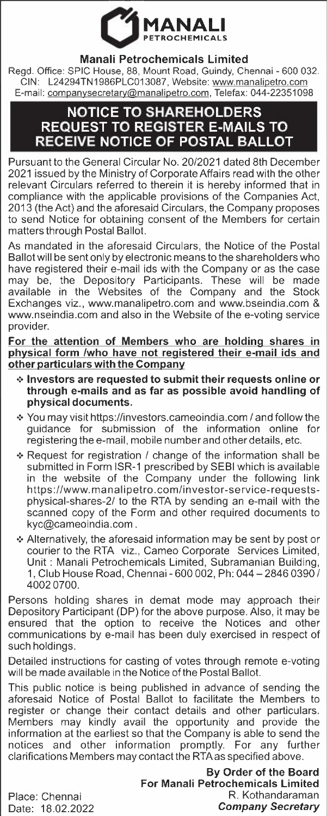

## **Manali Petrochemicals Limited**

Regd. Office: SPIC House, 88, Mount Road, Guindy, Chennai - 600 032. GIN: L24294TN1986PLC013087, Website: www.manalipetro.com E-mail: companysecretary@manalipetro.com, Telefax: 044-22351098

## **NOTICE TO SHAREHOLDERS REQUEST TO REGISTER E-MAILS TO RECEIVE NOTICE OF POSTAL BALLOT**

Pursuant to the General Circular No. 20/2021 dated 8th December 2021 issued by the Ministry of Corporate Affairs read with the other relevant Circulars referred to therein it is hereby informed that in compliance with the applicable provisions of the Companies Act, 2013 (the Act) and the aforesaid Circulars, the Company proposes to send Notice for obtaining consent of the Members for certain matters through Postal Ballot.

As mandated in the aforesaid Circulars, the Notice of the Postal Ballot will be sent only by electronic means to the shareholders who have registered their e-mail ids with the Company or as the case may be, the Depository Participants. These will be made available in the Websites of the Company and the Stock Exchanges viz., www.manalipetro.com and www.bseindia.com & www.nseindia.com and also in the Website of the e-voting service provider.

**For the attention of Members who are holding shares in physical form /who have not registered their e-mail ids and other particulars with the Company** 

- **•:• Investors are requested to submit their requests online or through e-mails and as far as possible avoid handling of physical documents.**
- •:• You may visit https://investors.cameoindia.com / and follow the guidance for submission of the information online for registering the e-mail, mobile number and other details, etc.
- *·=·* Request for registration / change of the information shall be submitted in Form ISR-1 prescribed by SEBI which is available in the website of the Company under the following link https://www.manalipetro.com/investor-service-requestsphysical-shares-2/ to the RTA by sending an e-mail with the scanned copy of the Form and other required documents to kyc@cameoindia.com.
- •!• Alternatively, the aforesaid information may be sent by post or courier to the RTA viz., Cameo Corporate Services Limited, Unit : Manali Petrochemicals Limited, Subramanian Building, 1, Club House Road, Chennai- 600 002, Ph: 044-2846 0390 *<sup>I</sup>* 40020700.

Persons holding shares in demat mode may approach their Depository Participant (DP) for the above purpose. Also, it may be ensured that the option to receive the Notices and other communications by e-mail has been duly exercised in respect of such holdings.

Detailed instructions for casting of votes through remote e-voting will be made available in the Notice of the Postal Ballot.

This public notice is being published in advance of sending the aforesaid Notice of Postal Ballot to facilitate the Members to register or change their contact details and other particulars. Members may kindly avail the opportunity and provide the information at the earliest so that the Company is able to send the notices and other information promptly. For any further clarifications Members may contact the RTAas specified above.

> **By Order of the Board For Manali Petrochemicals Limited**  R. Kothandaraman *Company Secretary*

Place: Chennai Date: 18.02.2022